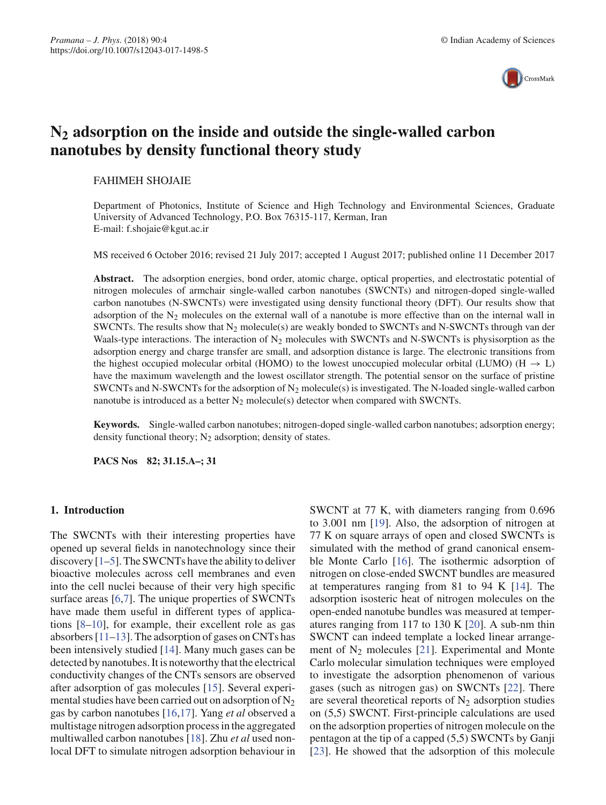

# **N2 adsorption on the inside and outside the single-walled carbon nanotubes by density functional theory study**

#### FAHIMEH SHOJAIE

Department of Photonics, Institute of Science and High Technology and Environmental Sciences, Graduate University of Advanced Technology, P.O. Box 76315-117, Kerman, Iran E-mail: f.shojaie@kgut.ac.ir

MS received 6 October 2016; revised 21 July 2017; accepted 1 August 2017; published online 11 December 2017

**Abstract.** The adsorption energies, bond order, atomic charge, optical properties, and electrostatic potential of nitrogen molecules of armchair single-walled carbon nanotubes (SWCNTs) and nitrogen-doped single-walled carbon nanotubes (N-SWCNTs) were investigated using density functional theory (DFT). Our results show that adsorption of the  $N_2$  molecules on the external wall of a nanotube is more effective than on the internal wall in SWCNTs. The results show that  $N_2$  molecule(s) are weakly bonded to SWCNTs and N-SWCNTs through van der Waals-type interactions. The interaction of  $N_2$  molecules with SWCNTs and N-SWCNTs is physisorption as the adsorption energy and charge transfer are small, and adsorption distance is large. The electronic transitions from the highest occupied molecular orbital (HOMO) to the lowest unoccupied molecular orbital (LUMO) ( $H \rightarrow L$ ) have the maximum wavelength and the lowest oscillator strength. The potential sensor on the surface of pristine SWCNTs and N-SWCNTs for the adsorption of  $N_2$  molecule(s) is investigated. The N-loaded single-walled carbon nanotube is introduced as a better  $N_2$  molecule(s) detector when compared with SWCNTs.

**Keywords.** Single-walled carbon nanotubes; nitrogen-doped single-walled carbon nanotubes; adsorption energy; density functional theory;  $N_2$  adsorption; density of states.

**PACS Nos 82; 31.15.A–; 31**

# **1. Introduction**

The SWCNTs with their interesting properties have opened up several fields in nanotechnology since their discovery [1–5]. The SWCNTs have the ability to deliver bioactive molecules across cell membranes and even into the cell nuclei because of their very high specific surface areas [6,7]. The unique properties of SWCNTs have made them useful in different types of applications [8–10], for example, their excellent role as gas absorbers [11–13]. The adsorption of gases on CNTs has been intensively studied [14]. Many much gases can be detected by nanotubes. It is noteworthy that the electrical conductivity changes of the CNTs sensors are observed after adsorption of gas molecules [15]. Several experimental studies have been carried out on adsorption of  $N_2$ gas by carbon nanotubes [16,17]. Yang *et al* observed a multistage nitrogen adsorption process in the aggregated multiwalled carbon nanotubes [18]. Zhu *et al* used nonlocal DFT to simulate nitrogen adsorption behaviour in SWCNT at 77 K, with diameters ranging from 0.696 to 3.001 nm [19]. Also, the adsorption of nitrogen at 77 K on square arrays of open and closed SWCNTs is simulated with the method of grand canonical ensemble Monte Carlo [16]. The isothermic adsorption of nitrogen on close-ended SWCNT bundles are measured at temperatures ranging from 81 to 94 K [14]. The adsorption isosteric heat of nitrogen molecules on the open-ended nanotube bundles was measured at temperatures ranging from 117 to 130 K [20]. A sub-nm thin SWCNT can indeed template a locked linear arrangement of  $N_2$  molecules [21]. Experimental and Monte Carlo molecular simulation techniques were employed to investigate the adsorption phenomenon of various gases (such as nitrogen gas) on SWCNTs [22]. There are several theoretical reports of  $N_2$  adsorption studies on (5,5) SWCNT. First-principle calculations are used on the adsorption properties of nitrogen molecule on the pentagon at the tip of a capped (5,5) SWCNTs by Ganji [23]. He showed that the adsorption of this molecule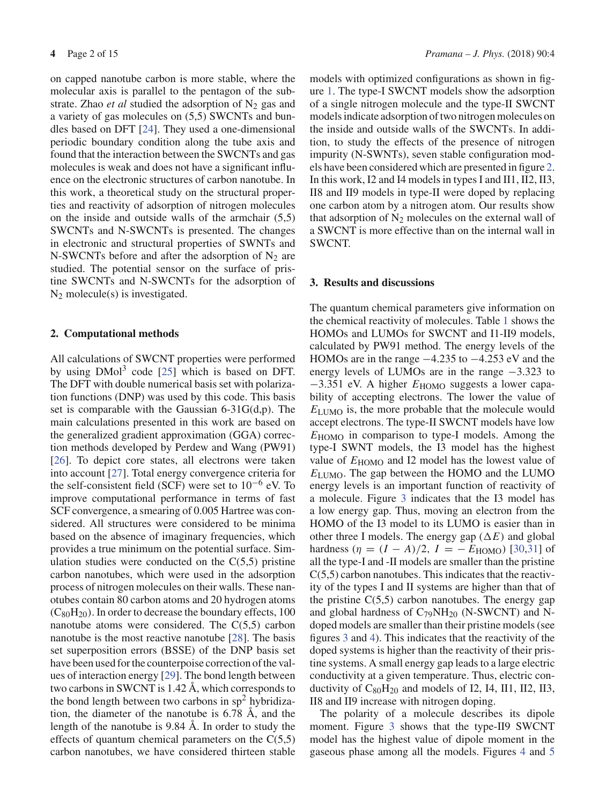on capped nanotube carbon is more stable, where the molecular axis is parallel to the pentagon of the substrate. Zhao *et al* studied the adsorption of  $N_2$  gas and a variety of gas molecules on (5,5) SWCNTs and bundles based on DFT [24]. They used a one-dimensional periodic boundary condition along the tube axis and found that the interaction between the SWCNTs and gas molecules is weak and does not have a significant influence on the electronic structures of carbon nanotube. In this work, a theoretical study on the structural properties and reactivity of adsorption of nitrogen molecules on the inside and outside walls of the armchair (5,5) SWCNTs and N-SWCNTs is presented. The changes in electronic and structural properties of SWNTs and N-SWCNTs before and after the adsorption of  $N_2$  are studied. The potential sensor on the surface of pristine SWCNTs and N-SWCNTs for the adsorption of N2 molecule(s) is investigated.

# **2. Computational methods**

All calculations of SWCNT properties were performed by using  $DMol<sup>3</sup>$  code [25] which is based on DFT. The DFT with double numerical basis set with polarization functions (DNP) was used by this code. This basis set is comparable with the Gaussian 6-31G(d,p). The main calculations presented in this work are based on the generalized gradient approximation (GGA) correction methods developed by Perdew and Wang (PW91) [26]. To depict core states, all electrons were taken into account [27]. Total energy convergence criteria for the self-consistent field (SCF) were set to  $10^{-6}$  eV. To improve computational performance in terms of fast SCF convergence, a smearing of 0.005 Hartree was considered. All structures were considered to be minima based on the absence of imaginary frequencies, which provides a true minimum on the potential surface. Simulation studies were conducted on the  $C(5,5)$  pristine carbon nanotubes, which were used in the adsorption process of nitrogen molecules on their walls. These nanotubes contain 80 carbon atoms and 20 hydrogen atoms  $(C_{80}H_{20})$ . In order to decrease the boundary effects, 100 nanotube atoms were considered. The  $C(5,5)$  carbon nanotube is the most reactive nanotube [28]. The basis set superposition errors (BSSE) of the DNP basis set have been used for the counterpoise correction of the values of interaction energy [29]. The bond length between two carbons in SWCNT is 1.42 Å, which corresponds to the bond length between two carbons in  $sp<sup>2</sup>$  hybridization, the diameter of the nanotube is 6.78 Å, and the length of the nanotube is 9.84 Å. In order to study the effects of quantum chemical parameters on the  $C(5,5)$ carbon nanotubes, we have considered thirteen stable models with optimized configurations as shown in figure 1. The type-I SWCNT models show the adsorption of a single nitrogen molecule and the type-II SWCNT models indicate adsorption of two nitrogen molecules on the inside and outside walls of the SWCNTs. In addition, to study the effects of the presence of nitrogen impurity (N-SWNTs), seven stable configuration models have been considered which are presented in figure 2. In this work, I2 and I4 models in types I and II1, II2, II3, II8 and II9 models in type-II were doped by replacing one carbon atom by a nitrogen atom. Our results show that adsorption of  $N_2$  molecules on the external wall of a SWCNT is more effective than on the internal wall in SWCNT.

### **3. Results and discussions**

The quantum chemical parameters give information on the chemical reactivity of molecules. Table 1 shows the HOMOs and LUMOs for SWCNT and I1-II9 models, calculated by PW91 method. The energy levels of the HOMOs are in the range −4.235 to −4.253 eV and the energy levels of LUMOs are in the range −3.323 to −3.351 eV. A higher  $E_{HOMO}$  suggests a lower capability of accepting electrons. The lower the value of *E*LUMO is, the more probable that the molecule would accept electrons. The type-II SWCNT models have low *E*HOMO in comparison to type-I models. Among the type-I SWNT models, the I3 model has the highest value of  $E_{\text{HOMO}}$  and I2 model has the lowest value of *E*LUMO. The gap between the HOMO and the LUMO energy levels is an important function of reactivity of a molecule. Figure 3 indicates that the I3 model has a low energy gap. Thus, moving an electron from the HOMO of the I3 model to its LUMO is easier than in other three I models. The energy gap  $(\Delta E)$  and global hardness  $(\eta = (I - A)/2, I = -E_{\text{HOMO}})$  [30,31] of all the type-I and -II models are smaller than the pristine  $C(5,5)$  carbon nanotubes. This indicates that the reactivity of the types I and II systems are higher than that of the pristine  $C(5,5)$  carbon nanotubes. The energy gap and global hardness of  $C_{79}NH_{20}$  (N-SWCNT) and Ndoped models are smaller than their pristine models (see figures 3 and 4). This indicates that the reactivity of the doped systems is higher than the reactivity of their pristine systems. A small energy gap leads to a large electric conductivity at a given temperature. Thus, electric conductivity of  $C_{80}H_{20}$  and models of I2, I4, II1, II2, II3, II8 and II9 increase with nitrogen doping.

The polarity of a molecule describes its dipole moment. Figure 3 shows that the type-II9 SWCNT model has the highest value of dipole moment in the gaseous phase among all the models. Figures 4 and 5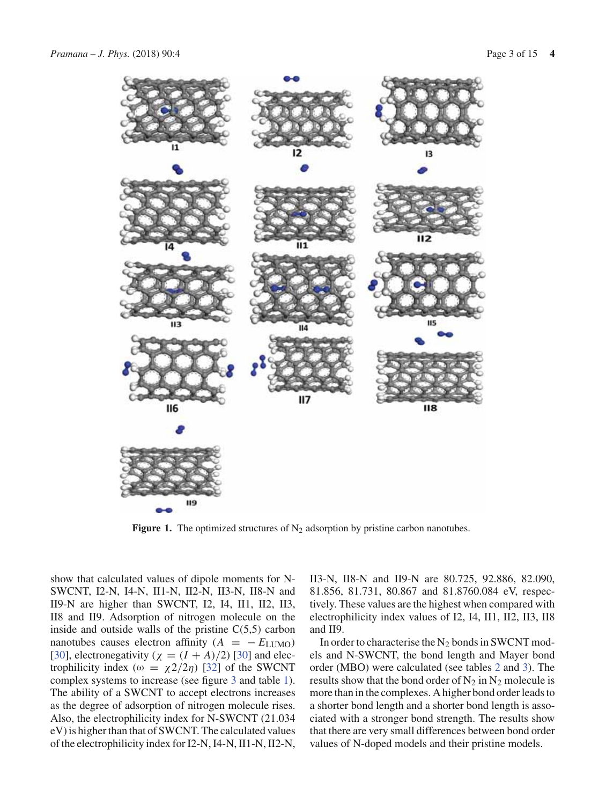

**Figure 1.** The optimized structures of  $N_2$  adsorption by pristine carbon nanotubes.

show that calculated values of dipole moments for N-SWCNT, I2-N, I4-N, II1-N, II2-N, II3-N, II8-N and II9-N are higher than SWCNT, I2, I4, II1, II2, II3, II8 and II9. Adsorption of nitrogen molecule on the inside and outside walls of the pristine  $C(5,5)$  carbon nanotubes causes electron affinity  $(A = -E_{LUMO})$ [30], electronegativity ( $\chi = (I + A)/2$ ) [30] and electrophilicity index ( $\omega = \chi^2/2\eta$ ) [32] of the SWCNT complex systems to increase (see figure 3 and table 1). The ability of a SWCNT to accept electrons increases as the degree of adsorption of nitrogen molecule rises. Also, the electrophilicity index for N-SWCNT (21.034 eV) is higher than that of SWCNT. The calculated values of the electrophilicity index for I2-N, I4-N, II1-N, II2-N, II3-N, II8-N and II9-N are 80.725, 92.886, 82.090, 81.856, 81.731, 80.867 and 81.8760.084 eV, respectively. These values are the highest when compared with electrophilicity index values of I2, I4, II1, II2, II3, II8 and II9.

In order to characterise the  $N_2$  bonds in SWCNT models and N-SWCNT, the bond length and Mayer bond order (MBO) were calculated (see tables 2 and 3). The results show that the bond order of  $N_2$  in  $N_2$  molecule is more than in the complexes. A higher bond order leads to a shorter bond length and a shorter bond length is associated with a stronger bond strength. The results show that there are very small differences between bond order values of N-doped models and their pristine models.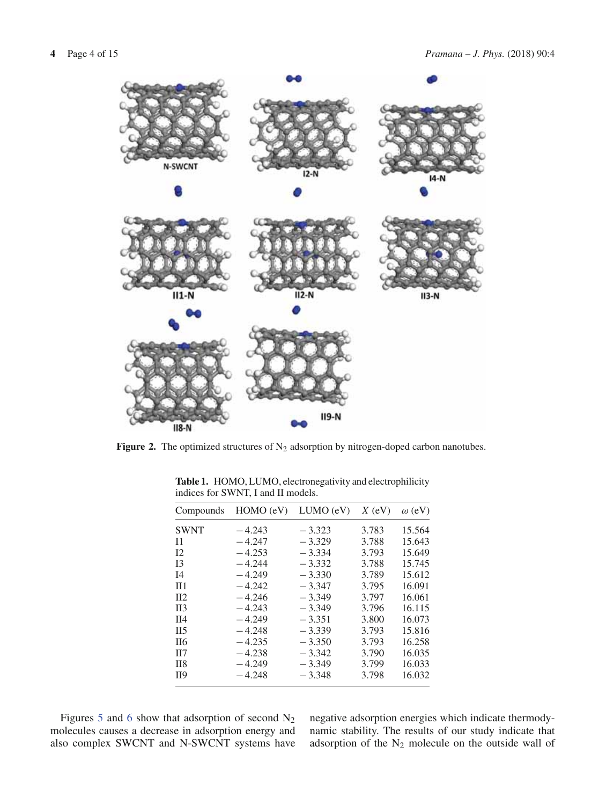

**Figure 2.** The optimized structures of  $N_2$  adsorption by nitrogen-doped carbon nanotubes.

| Compounds          | $HOMO$ (eV) | $LUMO$ (eV) | $X$ (eV) | $\omega$ (eV) |
|--------------------|-------------|-------------|----------|---------------|
| <b>SWNT</b>        | $-4.243$    | $-3.323$    | 3.783    | 15.564        |
| $_{11}$            | $-4.247$    | $-3.329$    | 3.788    | 15.643        |
| 12                 | $-4.253$    | $-3.334$    | 3.793    | 15.649        |
| I <sub>3</sub>     | $-4.244$    | $-3.332$    | 3.788    | 15.745        |
| I <sub>4</sub>     | $-4.249$    | $-3.330$    | 3.789    | 15.612        |
| $\Pi$ 1            | $-4.242$    | $-3.347$    | 3.795    | 16.091        |
| $\Pi$              | $-4.246$    | $-3.349$    | 3.797    | 16.061        |
| $\Pi$ 3            | $-4.243$    | $-3.349$    | 3.796    | 16.115        |
| II4                | $-4.249$    | $-3.351$    | 3.800    | 16.073        |
| II <sub>5</sub>    | $-4.248$    | $-3.339$    | 3.793    | 15.816        |
| II <sub>6</sub>    | $-4.235$    | $-3.350$    | 3.793    | 16.258        |
| $\Pi$              | $-4.238$    | $-3.342$    | 3.790    | 16.035        |
| II <sub>8</sub>    | $-4.249$    | $-3.349$    | 3.799    | 16.033        |
| $\Pi$ <sup>9</sup> | $-4.248$    | $-3.348$    | 3.798    | 16.032        |
|                    |             |             |          |               |

**Table 1.** HOMO, LUMO, electronegativity and electrophilicity indices for SWNT, I and II models.

Figures 5 and 6 show that adsorption of second  $N_2$ molecules causes a decrease in adsorption energy and also complex SWCNT and N-SWCNT systems have negative adsorption energies which indicate thermodynamic stability. The results of our study indicate that adsorption of the  $N_2$  molecule on the outside wall of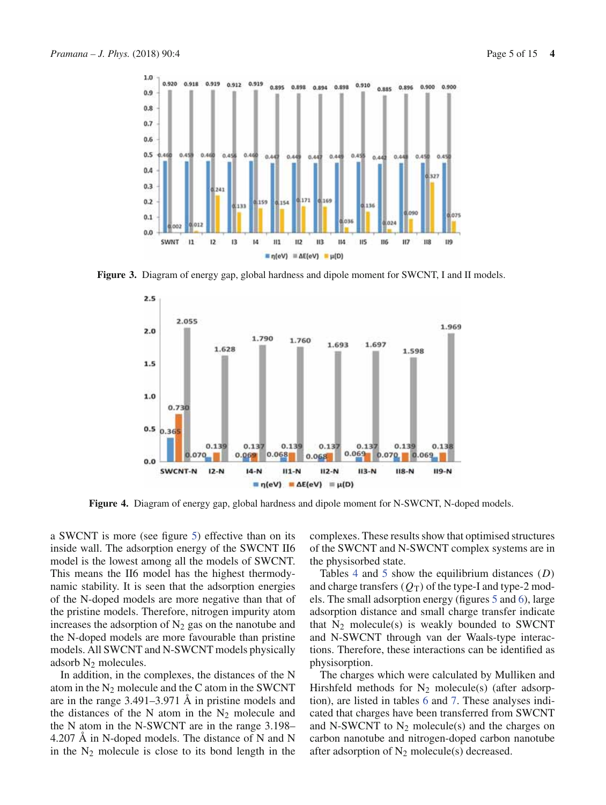

**Figure 3.** Diagram of energy gap, global hardness and dipole moment for SWCNT, I and II models.



**Figure 4.** Diagram of energy gap, global hardness and dipole moment for N-SWCNT, N-doped models.

a SWCNT is more (see figure 5) effective than on its inside wall. The adsorption energy of the SWCNT II6 model is the lowest among all the models of SWCNT. This means the II6 model has the highest thermodynamic stability. It is seen that the adsorption energies of the N-doped models are more negative than that of the pristine models. Therefore, nitrogen impurity atom increases the adsorption of  $N_2$  gas on the nanotube and the N-doped models are more favourable than pristine models. All SWCNT and N-SWCNT models physically adsorb  $N_2$  molecules.

In addition, in the complexes, the distances of the N atom in the  $N_2$  molecule and the C atom in the SWCNT are in the range 3.491–3.971 Å in pristine models and the distances of the N atom in the  $N_2$  molecule and the N atom in the N-SWCNT are in the range 3.198– 4.207 Å in N-doped models. The distance of N and N in the  $N_2$  molecule is close to its bond length in the complexes. These results show that optimised structures of the SWCNT and N-SWCNT complex systems are in the physisorbed state.

Tables 4 and 5 show the equilibrium distances (*D*) and charge transfers  $(Q_T)$  of the type-I and type-2 models. The small adsorption energy (figures 5 and 6), large adsorption distance and small charge transfer indicate that  $N_2$  molecule(s) is weakly bounded to SWCNT and N-SWCNT through van der Waals-type interactions. Therefore, these interactions can be identified as physisorption.

The charges which were calculated by Mulliken and Hirshfeld methods for  $N_2$  molecule(s) (after adsorption), are listed in tables 6 and 7. These analyses indicated that charges have been transferred from SWCNT and N-SWCNT to  $N_2$  molecule(s) and the charges on carbon nanotube and nitrogen-doped carbon nanotube after adsorption of  $N_2$  molecule(s) decreased.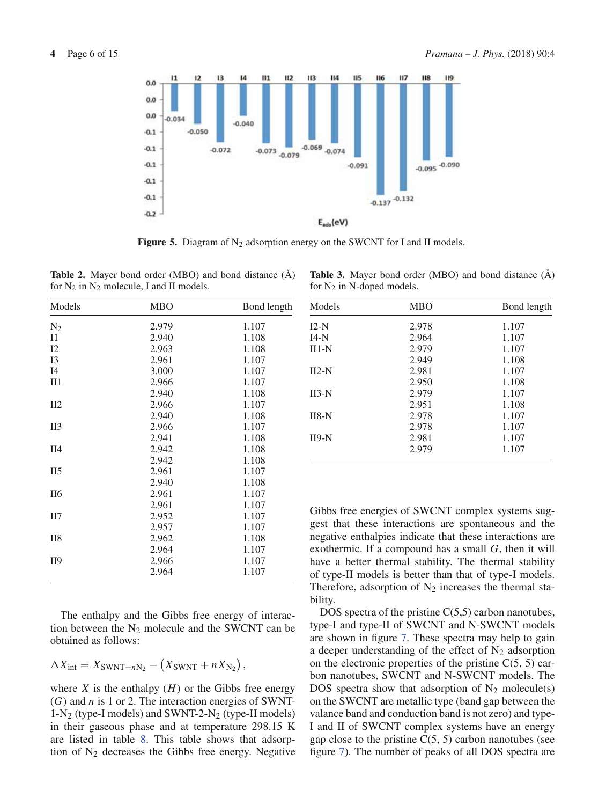

**Figure 5.** Diagram of  $N_2$  adsorption energy on the SWCNT for I and II models.

**Table 2.** Mayer bond order (MBO) and bond distance (Å) for  $N_2$  in  $N_2$  molecule, I and II models.

| Models          | <b>MBO</b> | Bond length |
|-----------------|------------|-------------|
| $N_2$           | 2.979      | 1.107       |
| $_{\rm II}$     | 2.940      | 1.108       |
| 12              | 2.963      | 1.108       |
| I3              | 2.961      | 1.107       |
| I4              | 3.000      | 1.107       |
| $II1$           | 2.966      | 1.107       |
|                 | 2.940      | 1.108       |
| II2             | 2.966      | 1.107       |
|                 | 2.940      | 1.108       |
| II3             | 2.966      | 1.107       |
|                 | 2.941      | 1.108       |
| II4             | 2.942      | 1.108       |
|                 | 2.942      | 1.108       |
| II <sub>5</sub> | 2.961      | 1.107       |
|                 | 2.940      | 1.108       |
| <b>II6</b>      | 2.961      | 1.107       |
|                 | 2.961      | 1.107       |
| II7             | 2.952      | 1.107       |
|                 | 2.957      | 1.107       |
| II <sub>8</sub> | 2.962      | 1.108       |
|                 | 2.964      | 1.107       |
| II9             | 2.966      | 1.107       |
|                 | 2.964      | 1.107       |

**Table 3.** Mayer bond order (MBO) and bond distance (Å) for  $N_2$  in N-doped models.

| Models  | <b>MBO</b> | Bond length |
|---------|------------|-------------|
| $I2-N$  | 2.978      | 1.107       |
| $I4-N$  | 2.964      | 1.107       |
| $II1-N$ | 2.979      | 1.107       |
|         | 2.949      | 1.108       |
| $II2-N$ | 2.981      | 1.107       |
|         | 2.950      | 1.108       |
| $II3-N$ | 2.979      | 1.107       |
|         | 2.951      | 1.108       |
| $II8-N$ | 2.978      | 1.107       |
|         | 2.978      | 1.107       |
| $II9-N$ | 2.981      | 1.107       |
|         | 2.979      | 1.107       |

Gibbs free energies of SWCNT complex systems suggest that these interactions are spontaneous and the negative enthalpies indicate that these interactions are exothermic. If a compound has a small *G*, then it will have a better thermal stability. The thermal stability of type-II models is better than that of type-I models. Therefore, adsorption of  $N_2$  increases the thermal stability.

DOS spectra of the pristine  $C(5,5)$  carbon nanotubes, type-I and type-II of SWCNT and N-SWCNT models are shown in figure 7. These spectra may help to gain a deeper understanding of the effect of  $N_2$  adsorption on the electronic properties of the pristine  $C(5, 5)$  carbon nanotubes, SWCNT and N-SWCNT models. The DOS spectra show that adsorption of  $N_2$  molecule(s) on the SWCNT are metallic type (band gap between the valance band and conduction band is not zero) and type-I and II of SWCNT complex systems have an energy gap close to the pristine  $C(5, 5)$  carbon nanotubes (see figure 7). The number of peaks of all DOS spectra are

The enthalpy and the Gibbs free energy of interaction between the  $N_2$  molecule and the SWCNT can be obtained as follows:

 $\Delta X_{\text{int}} = X_{\text{SWNT}-nN_2} - (X_{\text{SWNT}} + n X_{N_2}),$ 

where  $X$  is the enthalpy  $(H)$  or the Gibbs free energy (*G*) and *n* is 1 or 2. The interaction energies of SWNT- $1-N_2$  (type-I models) and SWNT-2- $N_2$  (type-II models) in their gaseous phase and at temperature 298.15 K are listed in table 8. This table shows that adsorption of  $N_2$  decreases the Gibbs free energy. Negative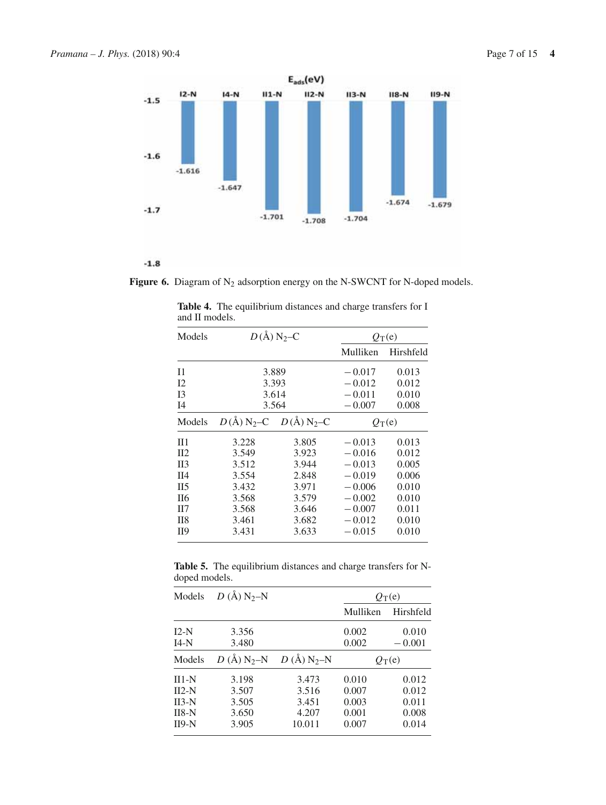

 $-1.8$ 

Figure 6. Diagram of N<sub>2</sub> adsorption energy on the N-SWCNT for N-doped models.

| Models           | $D(\AA)$ N <sub>2</sub> –C |                                   |          | $O_T(e)$  |  |
|------------------|----------------------------|-----------------------------------|----------|-----------|--|
|                  |                            |                                   | Mulliken | Hirshfeld |  |
| $_{11}$          |                            | 3.889                             | $-0.017$ | 0.013     |  |
| 12               | 3.393                      |                                   | $-0.012$ | 0.012     |  |
| I <sub>3</sub>   | 3.614                      |                                   | $-0.011$ | 0.010     |  |
| I <sub>4</sub>   | 3.564                      |                                   | $-0.007$ | 0.008     |  |
| Models           |                            | $D(A) N_2 - C \quad D(A) N_2 - C$ | $Q_T(e)$ |           |  |
| $\Pi$ 1          | 3.228                      | 3.805                             | $-0.013$ | 0.013     |  |
| $\Pi$            | 3.549                      | 3.923                             | $-0.016$ | 0.012     |  |
| II <sub>3</sub>  | 3.512                      | 3.944                             | $-0.013$ | 0.005     |  |
| $\overline{114}$ | 3.554                      | 2.848                             | $-0.019$ | 0.006     |  |
| II <sub>5</sub>  | 3.432                      | 3.971                             | $-0.006$ | 0.010     |  |
| II <sub>6</sub>  | 3.568                      | 3.579                             | $-0.002$ | 0.010     |  |
| H7               | 3.568                      | 3.646                             | $-0.007$ | 0.011     |  |
| II <sub>8</sub>  | 3.461                      | 3.682                             | $-0.012$ | 0.010     |  |
| II9              | 3.633<br>3.431             |                                   | $-0.015$ | 0.010     |  |

**Table 4.** The equilibrium distances and charge transfers for I and II models.  $\overline{a}$ 

**Table 5.** The equilibrium distances and charge transfers for Ndoped models.

| Models                                              | D (Å) $N_2-N$                             |                                            |                                           | $Q_T(e)$                                  |
|-----------------------------------------------------|-------------------------------------------|--------------------------------------------|-------------------------------------------|-------------------------------------------|
|                                                     |                                           |                                            | Mulliken                                  | Hirshfeld                                 |
| $I2-N$<br>$I4-N$                                    | 3.356<br>3.480                            |                                            | 0.002<br>0.002                            | 0.010<br>$-0.001$                         |
| Models                                              | $D(A)$ N <sub>2</sub> -N                  | $D(A)$ N <sub>2</sub> -N                   | $Q_T(e)$                                  |                                           |
| $II1-N$<br>$II2-N$<br>$II3-N$<br>$II8-N$<br>$II9-N$ | 3.198<br>3.507<br>3.505<br>3.650<br>3.905 | 3.473<br>3.516<br>3.451<br>4.207<br>10.011 | 0.010<br>0.007<br>0.003<br>0.001<br>0.007 | 0.012<br>0.012<br>0.011<br>0.008<br>0.014 |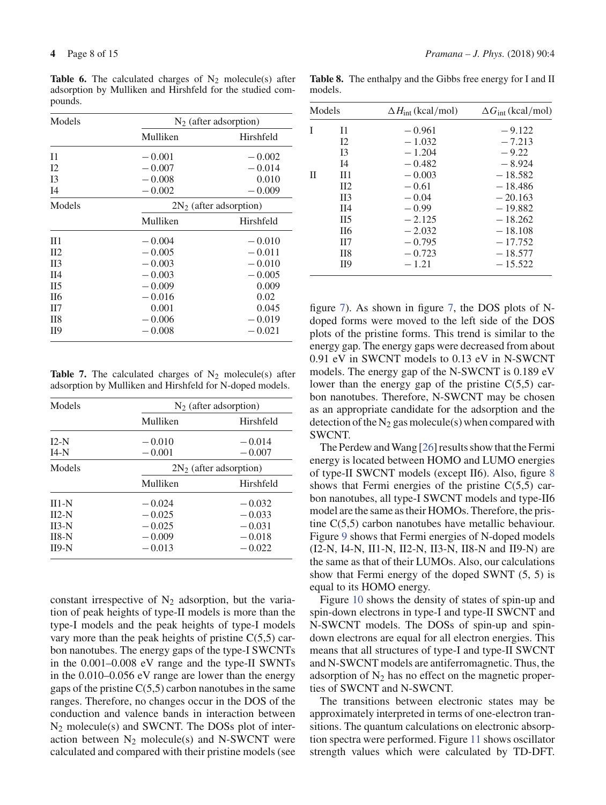**Table 6.** The calculated charges of  $N_2$  molecule(s) after adsorption by Mulliken and Hirshfeld for the studied compounds.

| Models          |          | $N_2$ (after adsorption)  |  |  |  |
|-----------------|----------|---------------------------|--|--|--|
|                 | Mulliken | Hirshfeld                 |  |  |  |
| $_{11}$         | $-0.001$ | $-0.002$                  |  |  |  |
| I <sub>2</sub>  | $-0.007$ | $-0.014$                  |  |  |  |
| I <sub>3</sub>  | $-0.008$ | 0.010                     |  |  |  |
| I <sub>4</sub>  | $-0.002$ | $-0.009$                  |  |  |  |
| Models          |          | $2N_2$ (after adsorption) |  |  |  |
|                 | Mulliken | Hirshfeld                 |  |  |  |
| $\Pi$ 1         | $-0.004$ | $-0.010$                  |  |  |  |
| $\Pi$           | $-0.005$ | $-0.011$                  |  |  |  |
| II <sub>3</sub> | $-0.003$ | $-0.010$                  |  |  |  |
| $\Pi$ 4         | $-0.003$ | $-0.005$                  |  |  |  |
| II <sub>5</sub> | $-0.009$ | 0.009                     |  |  |  |
| II <sub>6</sub> | $-0.016$ | 0.02                      |  |  |  |
| $\Pi$           | 0.001    | 0.045                     |  |  |  |
| II8             | $-0.006$ | $-0.019$                  |  |  |  |
| П9              | $-0.008$ | $-0.021$                  |  |  |  |

**Table 7.** The calculated charges of  $N_2$  molecule(s) after adsorption by Mulliken and Hirshfeld for N-doped models.

| Models                                              | $N_2$ (after adsorption)                                 |                                                          |  |  |
|-----------------------------------------------------|----------------------------------------------------------|----------------------------------------------------------|--|--|
|                                                     | Mulliken                                                 | Hirshfeld                                                |  |  |
| $I2-N$<br>$I4-N$                                    | $-0.010$<br>$-0.001$                                     | $-0.014$<br>$-0.007$                                     |  |  |
| Models                                              |                                                          | $2N_2$ (after adsorption)                                |  |  |
|                                                     | Mulliken                                                 | Hirshfeld                                                |  |  |
| $II1-N$<br>$II2-N$<br>$II3-N$<br>$II8-N$<br>$II9-N$ | $-0.024$<br>$-0.025$<br>$-0.025$<br>$-0.009$<br>$-0.013$ | $-0.032$<br>$-0.033$<br>$-0.031$<br>$-0.018$<br>$-0.022$ |  |  |

constant irrespective of  $N_2$  adsorption, but the variation of peak heights of type-II models is more than the type-I models and the peak heights of type-I models vary more than the peak heights of pristine  $C(5,5)$  carbon nanotubes. The energy gaps of the type-I SWCNTs in the 0.001–0.008 eV range and the type-II SWNTs in the 0.010–0.056 eV range are lower than the energy gaps of the pristine  $C(5,5)$  carbon nanotubes in the same ranges. Therefore, no changes occur in the DOS of the conduction and valence bands in interaction between  $N_2$  molecule(s) and SWCNT. The DOSs plot of interaction between  $N_2$  molecule(s) and N-SWCNT were calculated and compared with their pristine models (see

**Table 8.** The enthalpy and the Gibbs free energy for I and II models.

| Models |                 | $\Delta H_{\text{int}}$ (kcal/mol) | $\Delta G_{\text{int}}$ (kcal/mol) |
|--------|-----------------|------------------------------------|------------------------------------|
|        | $_{11}$         | $-0.961$                           | $-9.122$                           |
|        | I2              | $-1.032$                           | $-7.213$                           |
|        | <b>I3</b>       | $-1.204$                           | $-9.22$                            |
|        | $I$ 4           | $-0.482$                           | $-8.924$                           |
| П      | $\Pi$ 1         | $-0.003$                           | $-18.582$                          |
|        | $\Pi$           | $-0.61$                            | $-18,486$                          |
|        | $\Pi$ 3         | $-0.04$                            | $-20.163$                          |
|        | $\Pi$ 4         | $-0.99$                            | $-19.882$                          |
|        | II <sub>5</sub> | $-2.125$                           | $-18.262$                          |
|        | II <sub>6</sub> | $-2.032$                           | $-18.108$                          |
|        | $\Pi$           | $-0.795$                           | $-17.752$                          |
|        | II <sub>8</sub> | $-0.723$                           | $-18.577$                          |
|        | II9             | $-1.21$                            | $-15.522$                          |

figure 7). As shown in figure 7, the DOS plots of Ndoped forms were moved to the left side of the DOS plots of the pristine forms. This trend is similar to the energy gap. The energy gaps were decreased from about 0.91 eV in SWCNT models to 0.13 eV in N-SWCNT models. The energy gap of the N-SWCNT is 0.189 eV lower than the energy gap of the pristine  $C(5,5)$  carbon nanotubes. Therefore, N-SWCNT may be chosen as an appropriate candidate for the adsorption and the detection of the  $N_2$  gas molecule(s) when compared with SWCNT.

The Perdew and Wang [26] results show that the Fermi energy is located between HOMO and LUMO energies of type-II SWCNT models (except II6). Also, figure 8 shows that Fermi energies of the pristine  $C(5,5)$  carbon nanotubes, all type-I SWCNT models and type-II6 model are the same as their HOMOs. Therefore, the pristine C(5,5) carbon nanotubes have metallic behaviour. Figure 9 shows that Fermi energies of N-doped models (I2-N, I4-N, II1-N, II2-N, II3-N, II8-N and II9-N) are the same as that of their LUMOs. Also, our calculations show that Fermi energy of the doped SWNT (5, 5) is equal to its HOMO energy.

Figure 10 shows the density of states of spin-up and spin-down electrons in type-I and type-II SWCNT and N-SWCNT models. The DOSs of spin-up and spindown electrons are equal for all electron energies. This means that all structures of type-I and type-II SWCNT and N-SWCNT models are antiferromagnetic. Thus, the adsorption of  $N_2$  has no effect on the magnetic properties of SWCNT and N-SWCNT.

The transitions between electronic states may be approximately interpreted in terms of one-electron transitions. The quantum calculations on electronic absorption spectra were performed. Figure 11 shows oscillator strength values which were calculated by TD-DFT.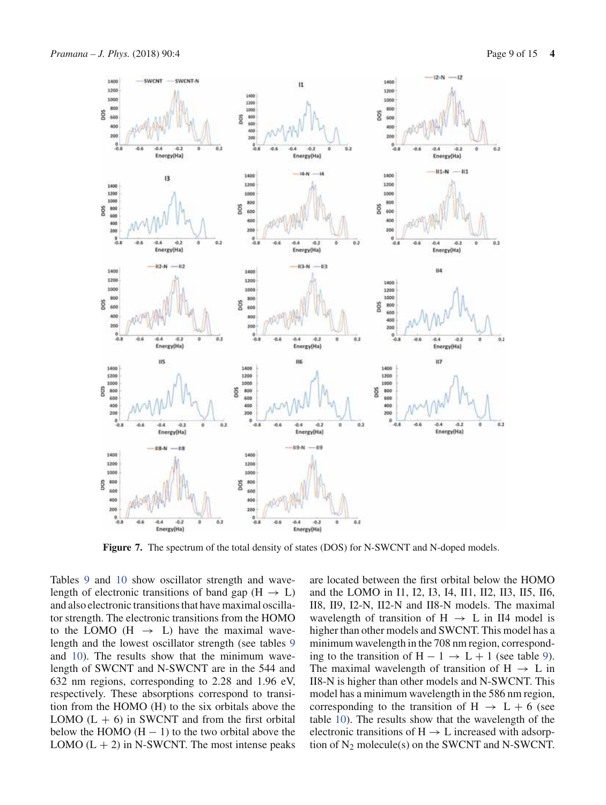

**Figure 7.** The spectrum of the total density of states (DOS) for N-SWCNT and N-doped models.

Tables 9 and 10 show oscillator strength and wavelength of electronic transitions of band gap ( $H \rightarrow L$ ) and also electronic transitions that have maximal oscillator strength. The electronic transitions from the HOMO to the LOMO (H  $\rightarrow$  L) have the maximal wavelength and the lowest oscillator strength (see tables 9 and 10). The results show that the minimum wavelength of SWCNT and N-SWCNT are in the 544 and 632 nm regions, corresponding to 2.28 and 1.96 eV, respectively. These absorptions correspond to transition from the HOMO (H) to the six orbitals above the LOMO  $(L + 6)$  in SWCNT and from the first orbital below the HOMO  $(H - 1)$  to the two orbital above the LOMO  $(L + 2)$  in N-SWCNT. The most intense peaks are located between the first orbital below the HOMO and the LOMO in I1, I2, I3, I4, II1, II2, II3, II5, II6, II8, II9, I2-N, II2-N and II8-N models. The maximal wavelength of transition of H  $\rightarrow$  L in II4 model is higher than other models and SWCNT. This model has a minimum wavelength in the 708 nm region, corresponding to the transition of  $H - 1 \rightarrow L + 1$  (see table 9). The maximal wavelength of transition of  $H \rightarrow L$  in II8-N is higher than other models and N-SWCNT. This model has a minimum wavelength in the 586 nm region, corresponding to the transition of  $H \rightarrow L + 6$  (see table 10). The results show that the wavelength of the electronic transitions of  $H \rightarrow L$  increased with adsorption of  $N_2$  molecule(s) on the SWCNT and N-SWCNT.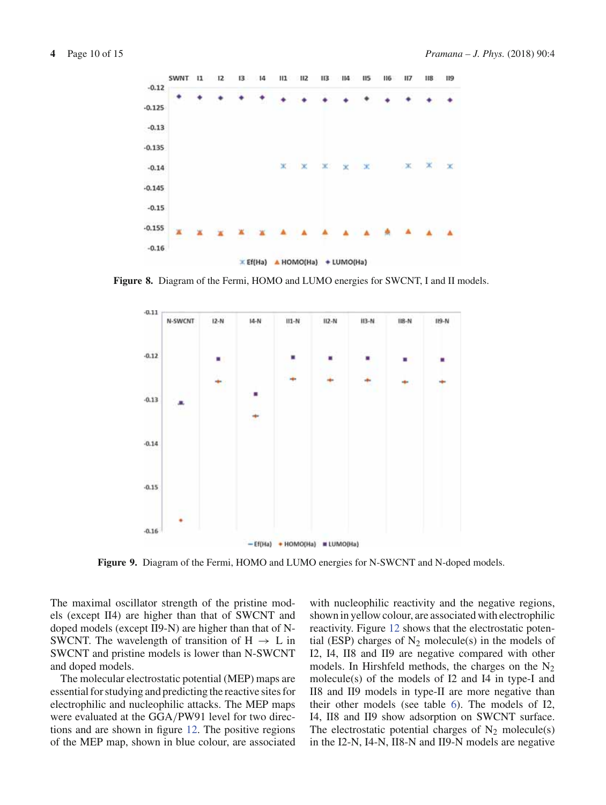

**Figure 8.** Diagram of the Fermi, HOMO and LUMO energies for SWCNT, I and II models.



**Figure 9.** Diagram of the Fermi, HOMO and LUMO energies for N-SWCNT and N-doped models.

The maximal oscillator strength of the pristine models (except II4) are higher than that of SWCNT and doped models (except II9-N) are higher than that of N-SWCNT. The wavelength of transition of  $H \rightarrow L$  in SWCNT and pristine models is lower than N-SWCNT and doped models.

The molecular electrostatic potential (MEP) maps are essential for studying and predicting the reactive sites for electrophilic and nucleophilic attacks. The MEP maps were evaluated at the GGA/PW91 level for two directions and are shown in figure 12. The positive regions of the MEP map, shown in blue colour, are associated with nucleophilic reactivity and the negative regions, shown in yellow colour, are associated with electrophilic reactivity. Figure 12 shows that the electrostatic potential (ESP) charges of  $N_2$  molecule(s) in the models of I2, I4, II8 and II9 are negative compared with other models. In Hirshfeld methods, the charges on the  $N_2$ molecule(s) of the models of I2 and I4 in type-I and II8 and II9 models in type-II are more negative than their other models (see table 6). The models of I2, I4, II8 and II9 show adsorption on SWCNT surface. The electrostatic potential charges of  $N_2$  molecule(s) in the I2-N, I4-N, II8-N and II9-N models are negative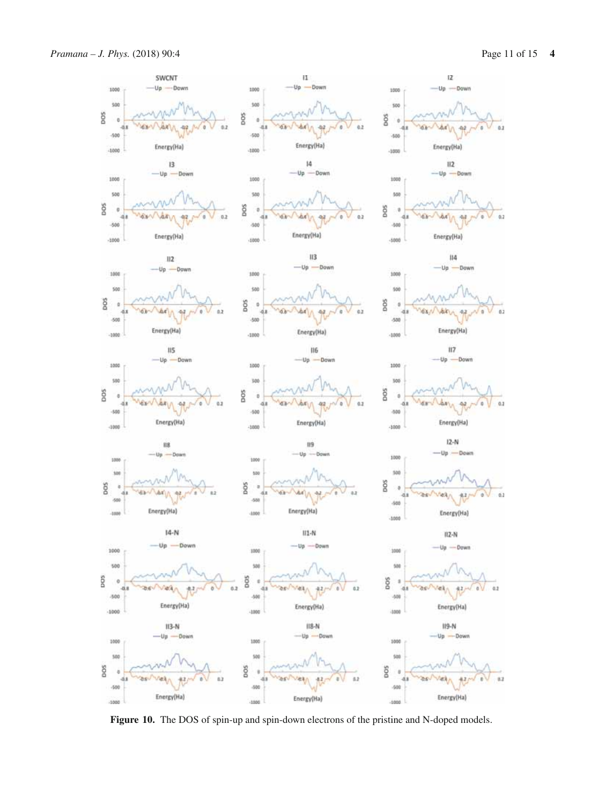

**Figure 10.** The DOS of spin-up and spin-down electrons of the pristine and N-doped models.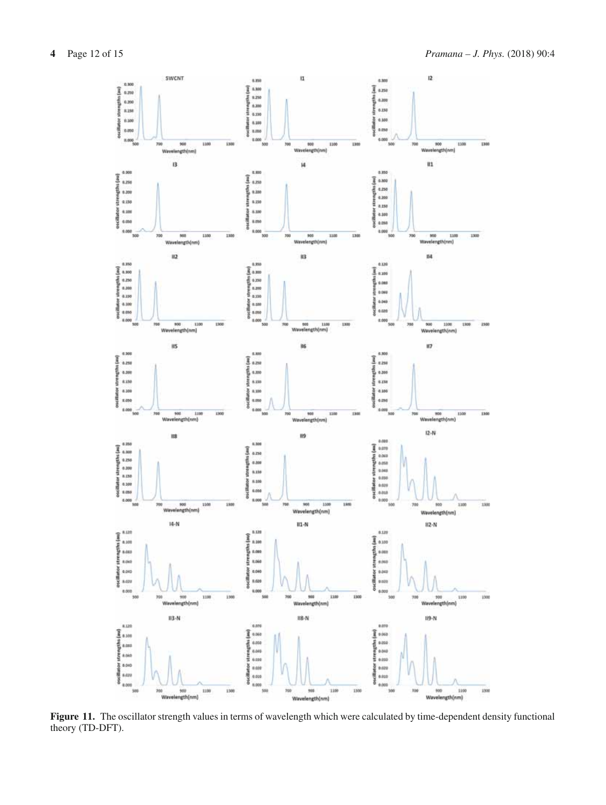

**Figure 11.** The oscillator strength values in terms of wavelength which were calculated by time-dependent density functional theory (TD-DFT).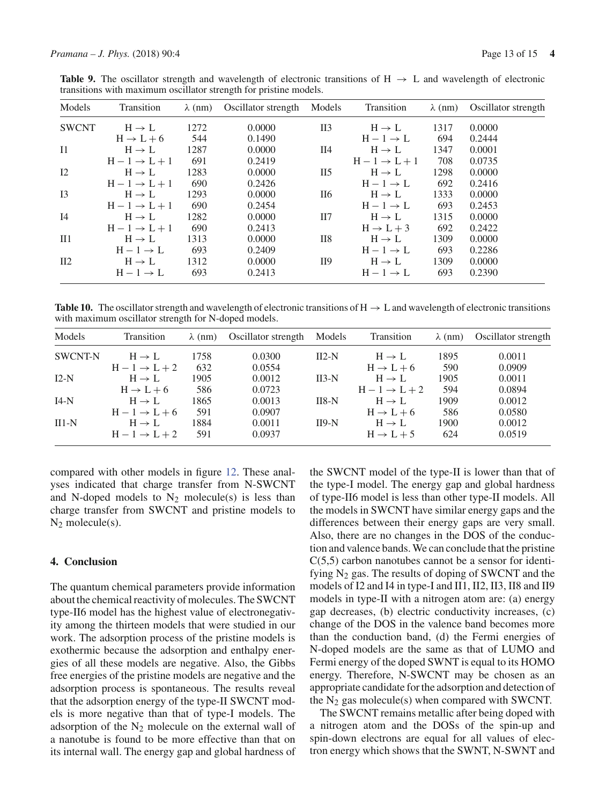**Table 9.** The oscillator strength and wavelength of electronic transitions of  $H \rightarrow L$  and wavelength of electronic transitions with maximum oscillator strength for pristine models.

| Models       | Transition            | $\lambda$ (nm) | Oscillator strength | Models           | Transition            | $\lambda$ (nm) | Oscillator strength |
|--------------|-----------------------|----------------|---------------------|------------------|-----------------------|----------------|---------------------|
| <b>SWCNT</b> | $H \rightarrow L$     | 1272           | 0.0000              | $\overline{II}3$ | $H \rightarrow L$     | 1317           | 0.0000              |
|              | $H \rightarrow L + 6$ | 544            | 0.1490              |                  | $H-1 \rightarrow L$   | 694            | 0.2444              |
| I1           | $H \rightarrow L$     | 1287           | 0.0000              | II4              | $H \rightarrow L$     | 1347           | 0.0001              |
|              | $H-1 \rightarrow L+1$ | 691            | 0.2419              |                  | $H-1 \rightarrow L+1$ | 708            | 0.0735              |
| I2           | $H \rightarrow L$     | 1283           | 0.0000              | II5              | $H \rightarrow L$     | 1298           | 0.0000              |
|              | $H-1 \rightarrow L+1$ | 690            | 0.2426              |                  | $H-1 \rightarrow L$   | 692            | 0.2416              |
| I3           | $H \rightarrow L$     | 1293           | 0.0000              | II6              | $H \rightarrow L$     | 1333           | 0.0000              |
|              | $H-1 \rightarrow L+1$ | 690            | 0.2454              |                  | $H-1 \rightarrow L$   | 693            | 0.2453              |
| I4           | $H \rightarrow L$     | 1282           | 0.0000              | $\rm II7$        | $H \rightarrow L$     | 1315           | 0.0000              |
|              | $H-1 \rightarrow L+1$ | 690            | 0.2413              |                  | $H \rightarrow L + 3$ | 692            | 0.2422              |
| II1          | $H \rightarrow L$     | 1313           | 0.0000              | <b>II8</b>       | $H \rightarrow L$     | 1309           | 0.0000              |
|              | $H-1 \rightarrow L$   | 693            | 0.2409              |                  | $H-1 \rightarrow L$   | 693            | 0.2286              |
| II2          | $H \rightarrow L$     | 1312           | 0.0000              | <b>II9</b>       | $H \rightarrow L$     | 1309           | 0.0000              |
|              | $H-1 \rightarrow L$   | 693            | 0.2413              |                  | $H-1 \rightarrow L$   | 693            | 0.2390              |

**Table 10.** The oscillator strength and wavelength of electronic transitions of  $H \rightarrow L$  and wavelength of electronic transitions with maximum oscillator strength for N-doped models.

| Models         | Transition            | $\lambda$ (nm) | Oscillator strength | Models  | Transition            | $\lambda$ (nm) | Oscillator strength |
|----------------|-----------------------|----------------|---------------------|---------|-----------------------|----------------|---------------------|
| <b>SWCNT-N</b> | $H \rightarrow L$     | 1758           | 0.0300              | $II2-N$ | $H \rightarrow L$     | 1895           | 0.0011              |
|                | $H-1 \rightarrow L+2$ | 632            | 0.0554              |         | $H \rightarrow L + 6$ | 590            | 0.0909              |
| $I2-N$         | $H \rightarrow L$     | 1905           | 0.0012              | $II3-N$ | $H \rightarrow L$     | 1905           | 0.0011              |
|                | $H \rightarrow L + 6$ | 586            | 0.0723              |         | $H-1 \rightarrow L+2$ | 594            | 0.0894              |
| $I4-N$         | $H \rightarrow L$     | 1865           | 0.0013              | $II8-N$ | $H \rightarrow L$     | 1909           | 0.0012              |
|                | $H-1 \rightarrow L+6$ | 591            | 0.0907              |         | $H \rightarrow L + 6$ | 586            | 0.0580              |
| $III-N$        | $H \rightarrow L$     | 1884           | 0.0011              | $II9-N$ | $H \rightarrow L$     | 1900           | 0.0012              |
|                | $H-1 \rightarrow L+2$ | 591            | 0.0937              |         | $H \rightarrow L + 5$ | 624            | 0.0519              |

compared with other models in figure 12. These analyses indicated that charge transfer from N-SWCNT and N-doped models to  $N_2$  molecule(s) is less than charge transfer from SWCNT and pristine models to  $N_2$  molecule(s).

#### **4. Conclusion**

The quantum chemical parameters provide information about the chemical reactivity of molecules. The SWCNT type-II6 model has the highest value of electronegativity among the thirteen models that were studied in our work. The adsorption process of the pristine models is exothermic because the adsorption and enthalpy energies of all these models are negative. Also, the Gibbs free energies of the pristine models are negative and the adsorption process is spontaneous. The results reveal that the adsorption energy of the type-II SWCNT models is more negative than that of type-I models. The adsorption of the  $N_2$  molecule on the external wall of a nanotube is found to be more effective than that on its internal wall. The energy gap and global hardness of the SWCNT model of the type-II is lower than that of the type-I model. The energy gap and global hardness of type-II6 model is less than other type-II models. All the models in SWCNT have similar energy gaps and the differences between their energy gaps are very small. Also, there are no changes in the DOS of the conduction and valence bands. We can conclude that the pristine  $C(5,5)$  carbon nanotubes cannot be a sensor for identifying  $N_2$  gas. The results of doping of SWCNT and the models of I2 and I4 in type-I and II1, II2, II3, II8 and II9 models in type-II with a nitrogen atom are: (a) energy gap decreases, (b) electric conductivity increases, (c) change of the DOS in the valence band becomes more than the conduction band, (d) the Fermi energies of N-doped models are the same as that of LUMO and Fermi energy of the doped SWNT is equal to its HOMO energy. Therefore, N-SWCNT may be chosen as an appropriate candidate for the adsorption and detection of the  $N_2$  gas molecule(s) when compared with SWCNT.

The SWCNT remains metallic after being doped with a nitrogen atom and the DOSs of the spin-up and spin-down electrons are equal for all values of electron energy which shows that the SWNT, N-SWNT and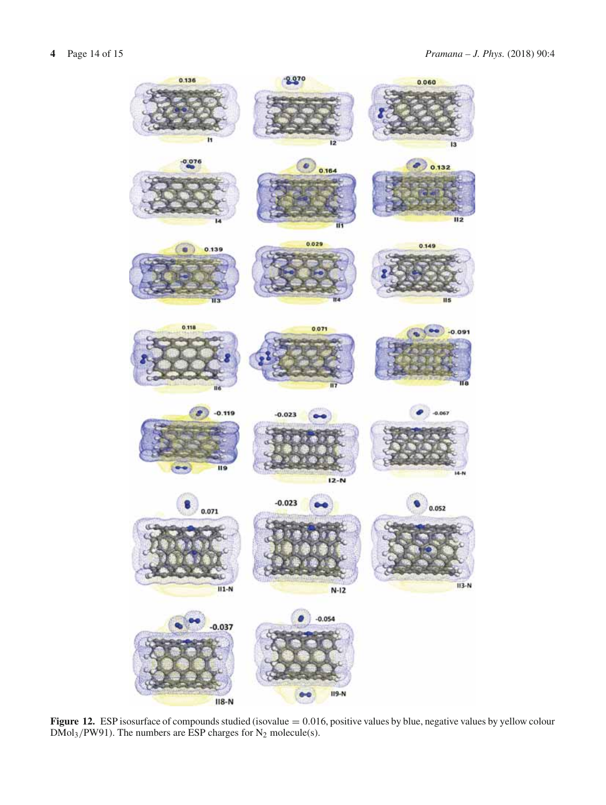

Figure 12. ESP isosurface of compounds studied (isovalue = 0.016, positive values by blue, negative values by yellow colour  $DMol<sub>3</sub>/PW91$ ). The numbers are ESP charges for  $N<sub>2</sub>$  molecule(s).